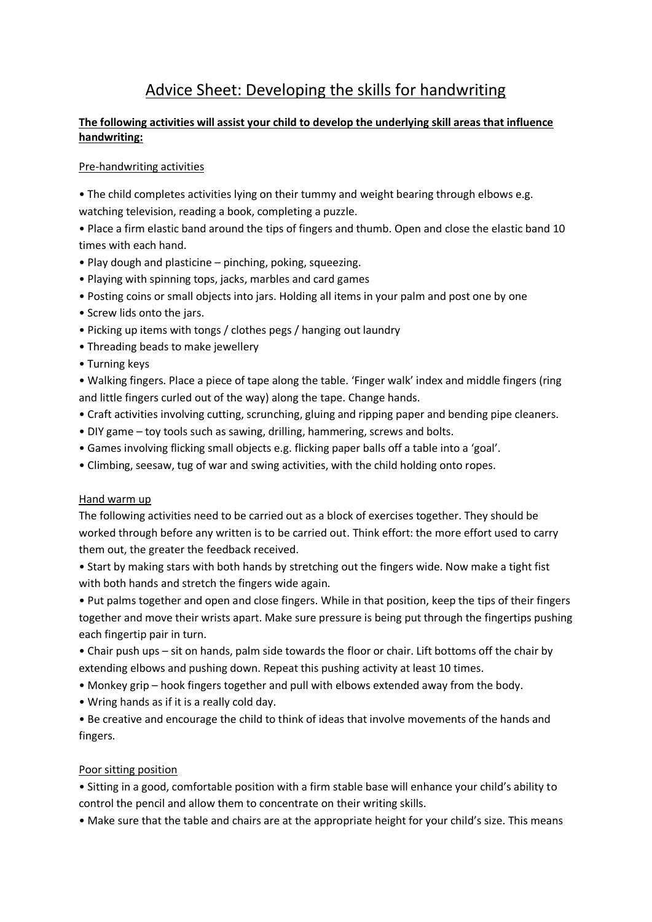# Advice Sheet: Developing the skills for handwriting

## **The following activities will assist your child to develop the underlying skill areas that influence handwriting:**

### Pre-handwriting activities

• The child completes activities lying on their tummy and weight bearing through elbows e.g. watching television, reading a book, completing a puzzle.

• Place a firm elastic band around the tips of fingers and thumb. Open and close the elastic band 10 times with each hand.

- Play dough and plasticine pinching, poking, squeezing.
- Playing with spinning tops, jacks, marbles and card games
- Posting coins or small objects into jars. Holding all items in your palm and post one by one
- Screw lids onto the jars.
- Picking up items with tongs / clothes pegs / hanging out laundry
- Threading beads to make jewellery
- Turning keys

• Walking fingers. Place a piece of tape along the table. 'Finger walk' index and middle fingers (ring and little fingers curled out of the way) along the tape. Change hands.

- Craft activities involving cutting, scrunching, gluing and ripping paper and bending pipe cleaners.
- DIY game toy tools such as sawing, drilling, hammering, screws and bolts.
- Games involving flicking small objects e.g. flicking paper balls off a table into a 'goal'.
- Climbing, seesaw, tug of war and swing activities, with the child holding onto ropes.

#### Hand warm up

The following activities need to be carried out as a block of exercises together. They should be worked through before any written is to be carried out. Think effort: the more effort used to carry them out, the greater the feedback received.

• Start by making stars with both hands by stretching out the fingers wide. Now make a tight fist with both hands and stretch the fingers wide again.

• Put palms together and open and close fingers. While in that position, keep the tips of their fingers together and move their wrists apart. Make sure pressure is being put through the fingertips pushing each fingertip pair in turn.

- Chair push ups sit on hands, palm side towards the floor or chair. Lift bottoms off the chair by extending elbows and pushing down. Repeat this pushing activity at least 10 times.
- Monkey grip hook fingers together and pull with elbows extended away from the body.
- Wring hands as if it is a really cold day.

• Be creative and encourage the child to think of ideas that involve movements of the hands and fingers.

#### Poor sitting position

• Sitting in a good, comfortable position with a firm stable base will enhance your child's ability to control the pencil and allow them to concentrate on their writing skills.

• Make sure that the table and chairs are at the appropriate height for your child's size. This means